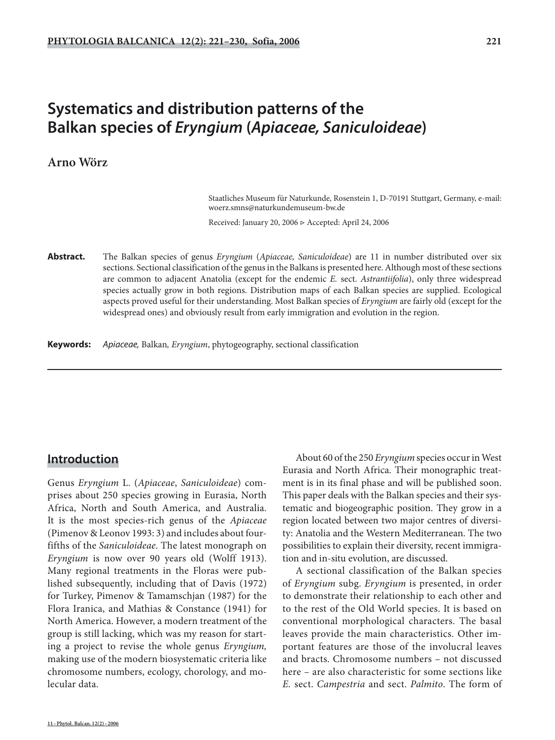# **Systematics and distribution patterns of the Balkan species of** *Eryngium* **(***Apiaceae, Saniculoideae***)**

# **Arno Wörz**

 Staatliches Museum für Naturkunde, Rosenstein 1, D-70191 Stuttgart, Germany, e-mail: woerz.smns@naturkundemuseum-bw.de

Received: January 20, 2006 ▷ Accepted: April 24, 2006

**Abstract.** The Balkan species of genus *Eryngium* (*Apiaceae, Saniculoideae*) are 11 in number distributed over six sections. Sectional classification of the genus in the Balkans is presented here. Although most of these sections are common to adjacent Anatolia (except for the endemic *E.* sect. *Astrantiifolia*), only three widespread species actually grow in both regions. Distribution maps of each Balkan species are supplied. Ecological aspects proved useful for their understanding. Most Balkan species of *Eryngium* are fairly old (except for the widespread ones) and obviously result from early immigration and evolution in the region.

**Keywords:** Apiaceae, Balkan*, Eryngium*, phytogeography, sectional classification

# **Introduction**

Genus *Eryngium* L. (*Apiaceae*, *Saniculoideae*) comprises about 250 species growing in Eurasia, North Africa, North and South America, and Australia. It is the most species-rich genus of the *Apiaceae* (Pimenov & Leonov 1993: 3) and includes about fourfifths of the *Saniculoideae*. The latest monograph on *Eryngium* is now over 90 years old (Wolff 1913). Many regional treatments in the Floras were published subsequently, including that of Davis (1972) for Turkey, Pimenov & Tamamschjan (1987) for the Flora Iranica, and Mathias & Constance (1941) for North America. However, a modern treatment of the group is still lacking, which was my reason for starting a project to revise the whole genus *Eryngium,* making use of the modern biosystematic criteria like chromosome numbers, ecology, chorology, and molecular data.

About 60 of the 250 *Eryngium* species occur in West Eurasia and North Africa. Their monographic treatment is in its final phase and will be published soon. This paper deals with the Balkan species and their systematic and biogeographic position. They grow in a region located between two major centres of diversity: Anatolia and the Western Mediterranean. The two possibilities to explain their diversity, recent immigration and in-situ evolution, are discussed.

A sectional classification of the Balkan species of *Eryngium* subg. *Eryngium* is presented, in order to demonstrate their relationship to each other and to the rest of the Old World species. It is based on conventional morphological characters. The basal leaves provide the main characteristics. Other important features are those of the involucral leaves and bracts. Chromosome numbers – not discussed here – are also characteristic for some sections like *E.* sect. *Campestria* and sect. *Palmito*. The form of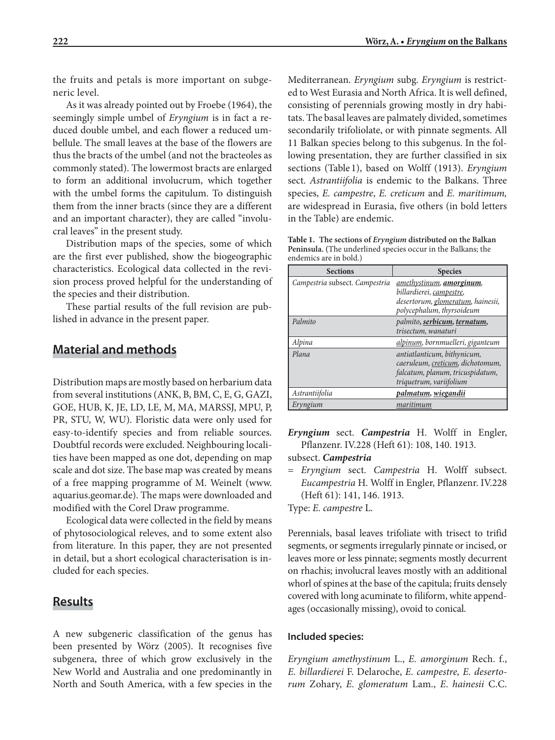the fruits and petals is more important on subgeneric level.

As it was already pointed out by Froebe (1964), the seemingly simple umbel of *Eryngium* is in fact a reduced double umbel, and each flower a reduced umbellule. The small leaves at the base of the flowers are thus the bracts of the umbel (and not the bracteoles as commonly stated). The lowermost bracts are enlarged to form an additional involucrum, which together with the umbel forms the capitulum. To distinguish them from the inner bracts (since they are a different and an important character), they are called "involucral leaves" in the present study.

Distribution maps of the species, some of which are the first ever published, show the biogeographic characteristics. Ecological data collected in the revision process proved helpful for the understanding of the species and their distribution.

These partial results of the full revision are published in advance in the present paper.

# **Material and methods**

Distribution maps are mostly based on herbarium data from several institutions (ANK, B, BM, C, E, G, GAZI, GOE, HUB, K, JE, LD, LE, M, MA, MARSSJ, MPU, P, PR, STU, W, WU). Floristic data were only used for easy-to-identify species and from reliable sources. Doubtful records were excluded. Neighbouring localities have been mapped as one dot, depending on map scale and dot size. The base map was created by means of a free mapping programme of M. Weinelt (www. aquarius.geomar.de). The maps were downloaded and modified with the Corel Draw programme.

Ecological data were collected in the field by means of phytosociological releves, and to some extent also from literature. In this paper, they are not presented in detail, but a short ecological characterisation is included for each species.

# **Results**

A new subgeneric classification of the genus has been presented by Wörz (2005). It recognises five subgenera, three of which grow exclusively in the New World and Australia and one predominantly in North and South America, with a few species in the

Mediterranean. *Eryngium* subg. *Eryngium* is restricted to West Eurasia and North Africa. It is well defined, consisting of perennials growing mostly in dry habitats. The basal leaves are palmately divided, sometimes secondarily trifoliolate, or with pinnate segments. All 11 Balkan species belong to this subgenus. In the following presentation, they are further classified in six sections (Table 1), based on Wolff (1913). *Eryngium*  sect. *Astrantiifolia* is endemic to the Balkans. Three species, *E. campestre*, *E. creticum* and *E. maritimum,* are widespread in Eurasia, five others (in bold letters in the Table) are endemic.

**Table 1. The sections of** *Eryngium* **distributed on the Balkan Peninsula. (**The underlined species occur in the Balkans; the endemics are in bold.)

| <b>Sections</b>                | <b>Species</b>                           |
|--------------------------------|------------------------------------------|
| Campestria subsect. Campestria | <u>amethystinum</u> , <b>amorginum</b> , |
|                                | billardierei, campestre,                 |
|                                | desertorum, glomeratum, hainesii,        |
|                                | polycephalum, thyrsoideum                |
| Palmito                        | palmito, serbicum, ternatum,             |
|                                | trisectum, wanaturi                      |
| Alpina                         | alpinum, bornmuelleri, giganteum         |
| Plana                          | antiatlanticum, bithynicum,              |
|                                | caeruleum, creticum, dichotomum,         |
|                                | falcatum, planum, tricuspidatum,         |
|                                | triquetrum, variifolium                  |
| Astrantiifolia                 | palmatum, wiegandii                      |
| Eryngium                       | maritimum                                |

*Eryngium* sect. *Campestria* H. Wolff in Engler, Pflanzenr. IV.228 (Heft 61): 108, 140. 1913.

subsect. *Campestria*

= *Eryngium* sect. *Campestria* H. Wolff subsect. *Eucampestria* H. Wolff in Engler, Pflanzenr. IV.228 (Heft 61): 141, 146. 1913.

Type: *E. campestre* L.

Perennials, basal leaves trifoliate with trisect to trifid segments, or segments irregularly pinnate or incised, or leaves more or less pinnate; segments mostly decurrent on rhachis; involucral leaves mostly with an additional whorl of spines at the base of the capitula; fruits densely covered with long acuminate to filiform, white appendages (occasionally missing), ovoid to conical.

### **Included species:**

*Eryngium amethystinum* L., *E. amorginum* Rech. f., *E. billardierei* F. Delaroche, *E. campestre, E. desertorum* Zohary, *E. glomeratum* Lam., *E*. *hainesii* C.C.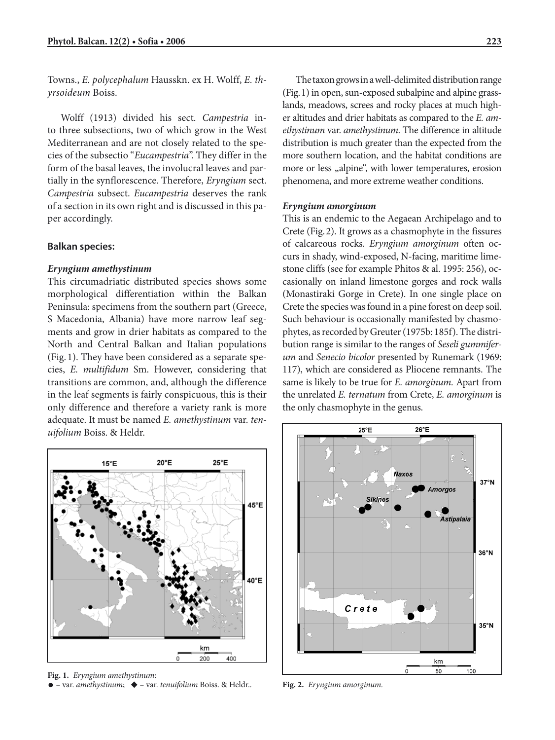Towns., *E. polycephalum* Hausskn. ex H. Wolff, *E. thyrsoideum* Boiss.

Wolff (1913) divided his sect. *Campestria* into three subsections, two of which grow in the West Mediterranean and are not closely related to the species of the subsectio "*Eucampestria*". They differ in the form of the basal leaves, the involucral leaves and partially in the synflorescence. Therefore, *Eryngium* sect. *Campestria* subsect. *Eucampestria* deserves the rank of a section in its own right and is discussed in this paper accordingly.

### **Balkan species:**

### *Eryngium amethystinum*

This circumadriatic distributed species shows some morphological differentiation within the Balkan Peninsula: specimens from the southern part (Greece, S Macedonia, Albania) have more narrow leaf segments and grow in drier habitats as compared to the North and Central Balkan and Italian populations (Fig. 1). They have been considered as a separate species, *E. multifidum* Sm. However, considering that transitions are common, and, although the difference in the leaf segments is fairly conspicuous, this is their only difference and therefore a variety rank is more adequate. It must be named *E. amethystinum* var. *tenuifolium* Boiss. & Heldr.

 $20^{\circ}$ E  $25^{\circ}E$  $15^{\circ}$ F 45°E 40°E km 200 400

**Fig. 1.** *Eryngium amethystinum*: • – var. *amethystinum*; ◆ – var. *tenuifolium* Boiss. & Heldr..

The taxon grows in a well-delimited distribution range (Fig. 1) in open, sun-exposed subalpine and alpine grasslands, meadows, screes and rocky places at much higher altitudes and drier habitats as compared to the *E. amethystinum* var. *amethystinum*. The difference in altitude distribution is much greater than the expected from the more southern location, and the habitat conditions are more or less "alpine", with lower temperatures, erosion phenomena, and more extreme weather conditions.

### *Eryngium amorginum*

This is an endemic to the Aegaean Archipelago and to Crete (Fig. 2). It grows as a chasmophyte in the fissures of calcareous rocks. *Eryngium amorginum* often occurs in shady, wind-exposed, N-facing, maritime limestone cliffs (see for example Phitos & al. 1995: 256), occasionally on inland limestone gorges and rock walls (Monastiraki Gorge in Crete). In one single place on Crete the species was found in a pine forest on deep soil. Such behaviour is occasionally manifested by chasmophytes, as recorded by Greuter (1975b: 185f). The distribution range is similar to the ranges of *Seseli gummiferum* and *Senecio bicolor* presented by Runemark (1969: 117), which are considered as Pliocene remnants. The same is likely to be true for *E. amorginum.* Apart from the unrelated *E. ternatum* from Crete, *E. amorginum* is the only chasmophyte in the genus.



**Fig. 2.** *Eryngium amorginum.*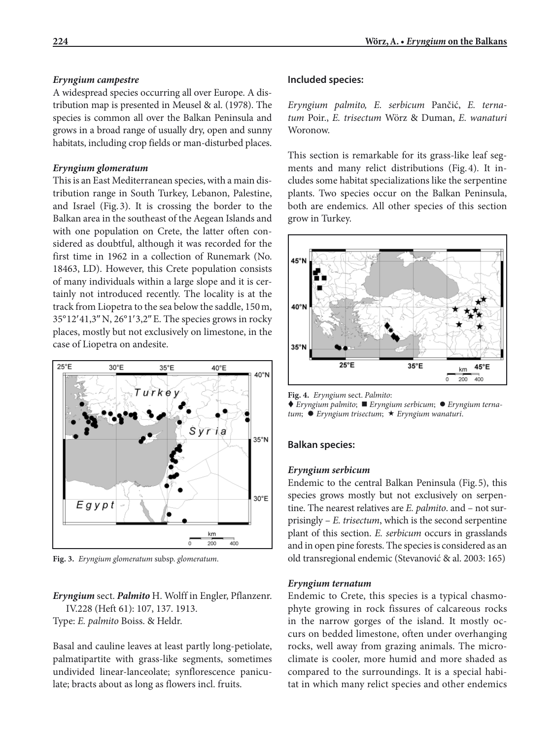# *Eryngium campestre*

A widespread species occurring all over Europe. A distribution map is presented in Meusel & al. (1978). The species is common all over the Balkan Peninsula and grows in a broad range of usually dry, open and sunny habitats, including crop fields or man-disturbed places.

## *Eryngium glomeratum*

This is an East Mediterranean species, with a main distribution range in South Turkey, Lebanon, Palestine, and Israel (Fig. 3). It is crossing the border to the Balkan area in the southeast of the Aegean Islands and with one population on Crete, the latter often considered as doubtful, although it was recorded for the first time in 1962 in a collection of Runemark (No. 18463, LD). However, this Crete population consists of many individuals within a large slope and it is certainly not introduced recently. The locality is at the track from Liopetra to the sea below the saddle, 150 m, 35° 12′ 41,3″ N, 26° 1′ 3,2″ E. The species grows in rocky places, mostly but not exclusively on limestone, in the case of Liopetra on andesite.



**Fig. 3.** *Eryngium glomeratum* subsp. *glomeratum*.

*Eryngium* sect. *Palmito* H. Wolff in Engler, Pflanzenr. IV.228 (Heft 61): 107, 137. 1913. Type: *E. palmito* Boiss. & Heldr.

Basal and cauline leaves at least partly long-petiolate, palmatipartite with grass-like segments, sometimes undivided linear-lanceolate; synflorescence paniculate; bracts about as long as flowers incl. fruits.

# **Included species:**

*Eryngium palmito, E. serbicum* Pančić, *E. ternatum* Poir., *E. trisectum* Wörz & Duman, *E. wanaturi*  Woronow.

This section is remarkable for its grass-like leaf segments and many relict distributions (Fig. 4). It includes some habitat specializations like the serpentine plants. Two species occur on the Balkan Peninsula, both are endemics. All other species of this section grow in Turkey.



**Fig. 4.** *Eryngium* sect. *Palmito*:

◆ *Eryngium palmito*; ■ *Eryngium serbicum*; ● *Eryngium ternatum*; *Eryngium trisectum*; *Eryngium wanaturi*.

### **Balkan species:**

#### *Eryngium serbicum*

Endemic to the central Balkan Peninsula (Fig. 5), this species grows mostly but not exclusively on serpentine. The nearest relatives are *E. palmito*. and – not surprisingly – *E. trisectum*, which is the second serpentine plant of this section. *E. serbicum* occurs in grasslands and in open pine forests. The species is considered as an old transregional endemic (Stevanović & al. 2003: 165)

#### *Eryngium ternatum*

Endemic to Crete, this species is a typical chasmophyte growing in rock fissures of calcareous rocks in the narrow gorges of the island. It mostly occurs on bedded limestone, often under overhanging rocks, well away from grazing animals. The microclimate is cooler, more humid and more shaded as compared to the surroundings. It is a special habitat in which many relict species and other endemics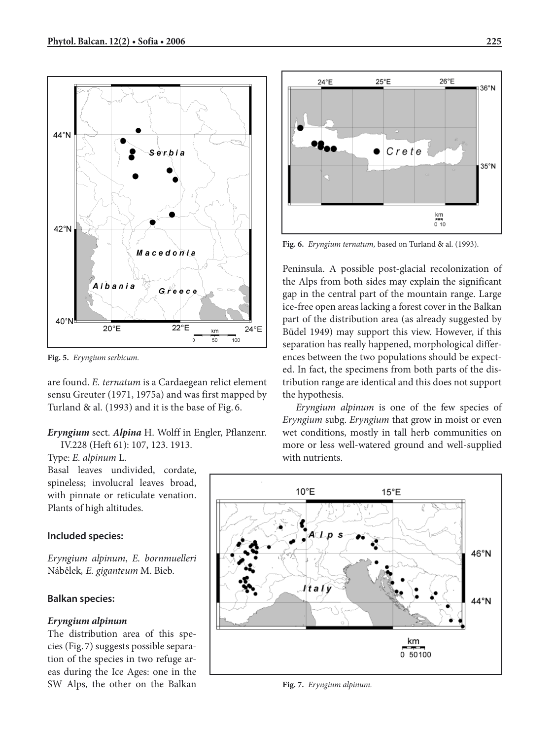

**Fig. 5.** *Eryngium serbicum.*

are found. *E. ternatum* is a Cardaegean relict element sensu Greuter (1971, 1975a) and was first mapped by Turland & al. (1993) and it is the base of Fig. 6.

*Eryngium* sect. *Alpina* H. Wolff in Engler, Pflanzenr. IV.228 (Heft 61): 107, 123. 1913.

Type: *E. alpinum* L.

Basal leaves undivided, cordate, spineless; involucral leaves broad, with pinnate or reticulate venation. Plants of high altitudes.

# **Included species:**

*Eryngium alpinum*, *E. bornmuelleri* Nábělek*, E. giganteum* M. Bieb.

# **Balkan species:**

# *Eryngium alpinum*

The distribution area of this species (Fig. 7) suggests possible separation of the species in two refuge areas during the Ice Ages: one in the SW Alps, the other on the Balkan



**Fig. 6.** *Eryngium ternatum,* based on Turland & al. (1993).

Peninsula. A possible post-glacial recolonization of the Alps from both sides may explain the significant gap in the central part of the mountain range. Large ice-free open areas lacking a forest cover in the Balkan part of the distribution area (as already suggested by Büdel 1949) may support this view. However, if this separation has really happened, morphological differences between the two populations should be expected. In fact, the specimens from both parts of the distribution range are identical and this does not support the hypothesis.

*Eryngium alpinum* is one of the few species of *Eryngium* subg. *Eryngium* that grow in moist or even wet conditions, mostly in tall herb communities on more or less well-watered ground and well-supplied with nutrients.



**Fig. 7.** *Eryngium alpinum.*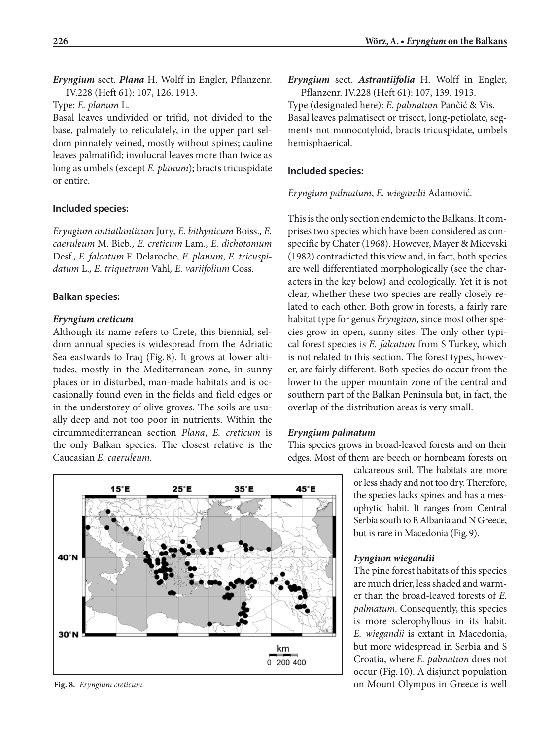*Eryngium* sect. *Plana* H. Wolff in Engler, Pflanzenr. IV.228 (Heft 61): 107, 126. 1913.

Type: *E. planum* L.

Basal leaves undivided or trifid, not divided to the base, palmately to reticulately, in the upper part seldom pinnately veined, mostly without spines; cauline leaves palmatifid; involucral leaves more than twice as long as umbels (except *E. planum*); bracts tricuspidate or entire.

# **Included species:**

*Eryngium antiatlanticum* Jury*, E. bithynicum* Boiss.*, E. caeruleum* M. Bieb*., E. creticum* Lam.*, E. dichotomum* Desf.*, E. falcatum* F. Delaroche*, E. planum, E. tricuspidatum* L.*, E. triquetrum* Vahl*, E. variifolium* Coss.

### **Balkan species:**

# *Eryngium creticum*

Although its name refers to Crete, this biennial, seldom annual species is widespread from the Adriatic Sea eastwards to Iraq (Fig. 8). It grows at lower altitudes, mostly in the Mediterranean zone, in sunny places or in disturbed, man-made habitats and is occasionally found even in the fields and field edges or in the understorey of olive groves. The soils are usually deep and not too poor in nutrients. Within the circummediterranean section *Plana*, *E. creticum* is the only Balkan species. The closest relative is the Caucasian *E. caeruleum*.



*Eryngium* sect. *Astrantiifolia* H. Wolff in Engler, Pflanzenr. IV.228 (Heft 61): 107, 139. 1913. Type (designated here): *E. palmatum* Pančić & Vis. Basal leaves palmatisect or trisect, long-petiolate, segments not monocotyloid, bracts tricuspidate, umbels hemisphaerical.

### **Included species:**

*Eryngium palmatum*, *E. wiegandii* Adamović.

This is the only section endemic to the Balkans. It comprises two species which have been considered as conspecific by Chater (1968). However, Mayer & Micevski (1982) contradicted this view and, in fact, both species are well differentiated morphologically (see the characters in the key below) and ecologically. Yet it is not clear, whether these two species are really closely related to each other. Both grow in forests, a fairly rare habitat type for genus *Eryngium,* since most other species grow in open, sunny sites. The only other typical forest species is *E. falcatum* from S Turkey, which is not related to this section. The forest types, however, are fairly different. Both species do occur from the lower to the upper mountain zone of the central and southern part of the Balkan Peninsula but, in fact, the overlap of the distribution areas is very small.

#### *Eryngium palmatum*

This species grows in broad-leaved forests and on their edges. Most of them are beech or hornbeam forests on

> calcareous soil. The habitats are more or less shady and not too dry. Therefore, the species lacks spines and has a mesophytic habit. It ranges from Central Serbia south to E Albania and N Greece, but is rare in Macedonia (Fig. 9).

### *Eyngium wiegandii*

The pine forest habitats of this species are much drier, less shaded and warmer than the broad-leaved forests of *E. palmatum.* Consequently, this species is more sclerophyllous in its habit. *E. wiegandii* is extant in Macedonia, but more widespread in Serbia and S Croatia, where *E. palmatum* does not occur (Fig. 10). A disjunct population **Fig. 8.** *Eryngium creticum.* on Mount Olympos in Greece is well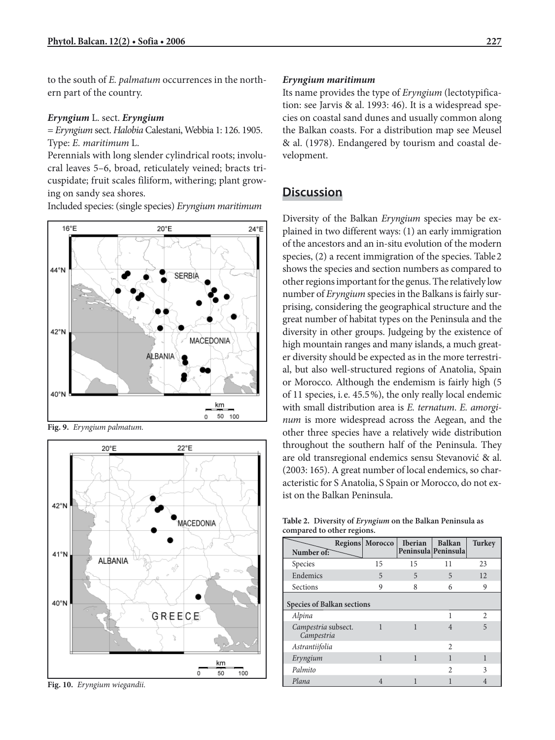to the south of *E. palmatum* occurrences in the northern part of the country.

### *Eryngium* L. sect. *Eryngium*

= *Eryngium* sect. *Halobia* Calestani, Webbia 1: 126. 1905. Type: *E. maritimum* L.

Perennials with long slender cylindrical roots; involucral leaves 5–6, broad, reticulately veined; bracts tricuspidate; fruit scales filiform, withering; plant growing on sandy sea shores.

Included species: (single species) *Eryngium maritimum*



**Fig. 9.** *Eryngium palmatum.*



**Fig. 10.** *Eryngium wiegandii.*

### *Eryngium maritimum*

Its name provides the type of *Eryngium* (lectotypification: see Jarvis & al. 1993: 46). It is a widespread species on coastal sand dunes and usually common along the Balkan coasts. For a distribution map see Meusel & al. (1978). Endangered by tourism and coastal development.

# **Discussion**

Diversity of the Balkan *Eryngium* species may be explained in two different ways: (1) an early immigration of the ancestors and an in-situ evolution of the modern species, (2) a recent immigration of the species. Table 2 shows the species and section numbers as compared to other regions important for the genus. The relatively low number of *Eryngium* species in the Balkans is fairly surprising, considering the geographical structure and the great number of habitat types on the Peninsula and the diversity in other groups. Judgeing by the existence of high mountain ranges and many islands, a much greater diversity should be expected as in the more terrestrial, but also well-structured regions of Anatolia, Spain or Morocco. Although the endemism is fairly high (5 of 11 species, i. e. 45.5 %), the only really local endemic with small distribution area is *E. ternatum*. *E. amorginum* is more widespread across the Aegean, and the other three species have a relatively wide distribution throughout the southern half of the Peninsula. They are old transregional endemics sensu Stevanović & al. (2003: 165). A great number of local endemics, so characteristic for S Anatolia, S Spain or Morocco, do not exist on the Balkan Peninsula.

**Table 2. Diversity of** *Eryngium* **on the Balkan Peninsula as compared to other regions.**

| Number of:                        |  | <b>Regions Morocco</b> | <b>Iberian</b> | <b>Balkan</b><br>Peninsula Peninsula | <b>Turkey</b>  |
|-----------------------------------|--|------------------------|----------------|--------------------------------------|----------------|
| Species                           |  | 15                     | 15             | 11                                   | 23             |
| Endemics                          |  | 5                      | 5              | 5                                    | 12             |
| Sections                          |  | 9                      | 8              | 6                                    | 9              |
| <b>Species of Balkan sections</b> |  |                        |                |                                      |                |
| Alpina                            |  |                        |                | 1                                    | $\mathfrak{D}$ |
| Campestria subsect.<br>Campestria |  | 1                      | 1              | $\overline{4}$                       | 5              |
| Astrantiifolia                    |  |                        |                | $\mathfrak{D}$                       |                |
| Eryngium                          |  | 1                      | 1              | 1                                    | 1              |
| Palmito                           |  |                        |                | $\mathfrak{D}$                       | 3              |
| Plana                             |  | 4                      |                |                                      |                |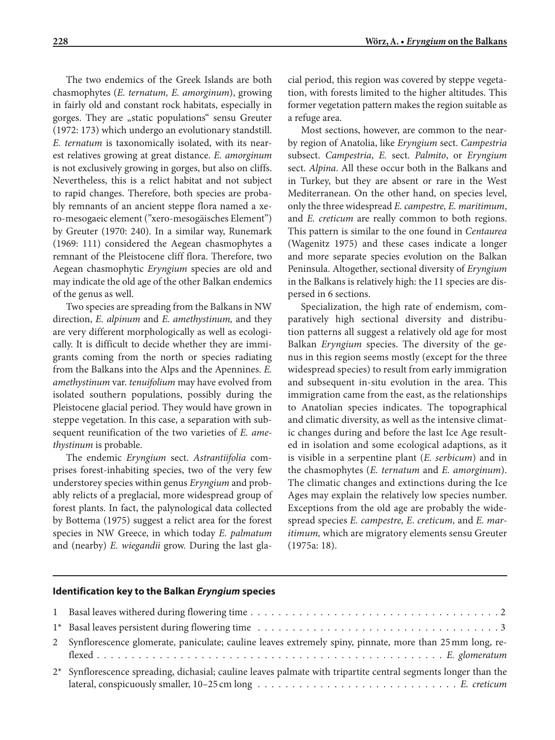The two endemics of the Greek Islands are both chasmophytes (*E. ternatum, E. amorginum*), growing in fairly old and constant rock habitats, especially in gorges. They are "static populations" sensu Greuter (1972: 173) which undergo an evolutionary standstill. *E. ternatum* is taxonomically isolated, with its nearest relatives growing at great distance. *E. amorginum*  is not exclusively growing in gorges, but also on cliffs. Nevertheless, this is a relict habitat and not subject to rapid changes. Therefore, both species are probably remnants of an ancient steppe flora named a xero-mesogaeic element ("xero-mesogäisches Element") by Greuter (1970: 240). In a similar way, Runemark (1969: 111) considered the Aegean chasmophytes a remnant of the Pleistocene cliff flora. Therefore, two Aegean chasmophytic *Eryngium* species are old and may indicate the old age of the other Balkan endemics of the genus as well.

Two species are spreading from the Balkans in NW direction, *E. alpinum* and *E. amethystinum,* and they are very different morphologically as well as ecologically. It is difficult to decide whether they are immigrants coming from the north or species radiating from the Balkans into the Alps and the Apennines. *E. amethystinum* var. *tenuifolium* may have evolved from isolated southern populations, possibly during the Pleistocene glacial period. They would have grown in steppe vegetation. In this case, a separation with subsequent reunification of the two varieties of *E. amethystinum* is probable.

The endemic *Eryngium* sect. *Astrantiifolia* comprises forest-inhabiting species, two of the very few understorey species within genus *Eryngium* and probably relicts of a preglacial, more widespread group of forest plants. In fact, the palynological data collected by Bottema (1975) suggest a relict area for the forest species in NW Greece, in which today *E. palmatum* and (nearby) *E. wiegandii* grow. During the last glacial period, this region was covered by steppe vegetation, with forests limited to the higher altitudes. This former vegetation pattern makes the region suitable as a refuge area.

Most sections, however, are common to the nearby region of Anatolia, like *Eryngium* sect. *Campestria*  subsect. *Campestria*, *E.* sect. *Palmito*, or *Eryngium*  sect. *Alpina*. All these occur both in the Balkans and in Turkey, but they are absent or rare in the West Mediterranean. On the other hand, on species level, only the three widespread *E. campestre, E. maritimum*, and *E. creticum* are really common to both regions. This pattern is similar to the one found in *Centaurea* (Wagenitz 1975) and these cases indicate a longer and more separate species evolution on the Balkan Peninsula. Altogether, sectional diversity of *Eryngium* in the Balkans is relatively high: the 11 species are dispersed in 6 sections.

Specialization, the high rate of endemism, comparatively high sectional diversity and distribution patterns all suggest a relatively old age for most Balkan *Eryngium* species. The diversity of the genus in this region seems mostly (except for the three widespread species) to result from early immigration and subsequent in-situ evolution in the area. This immigration came from the east, as the relationships to Anatolian species indicates. The topographical and climatic diversity, as well as the intensive climatic changes during and before the last Ice Age resulted in isolation and some ecological adaptions, as it is visible in a serpentine plant (*E. serbicum*) and in the chasmophytes (*E. ternatum* and *E. amorginum*). The climatic changes and extinctions during the Ice Ages may explain the relatively low species number. Exceptions from the old age are probably the widespread species *E. campestre, E. creticum,* and *E. maritimum,* which are migratory elements sensu Greuter (1975a: 18).

#### **Identification key to the Balkan** *Eryngium* **species**

| 2 Synflorescence glomerate, paniculate; cauline leaves extremely spiny, pinnate, more than 25 mm long, re-      |
|-----------------------------------------------------------------------------------------------------------------|
| 2* Synflorescence spreading, dichasial; cauline leaves palmate with tripartite central segments longer than the |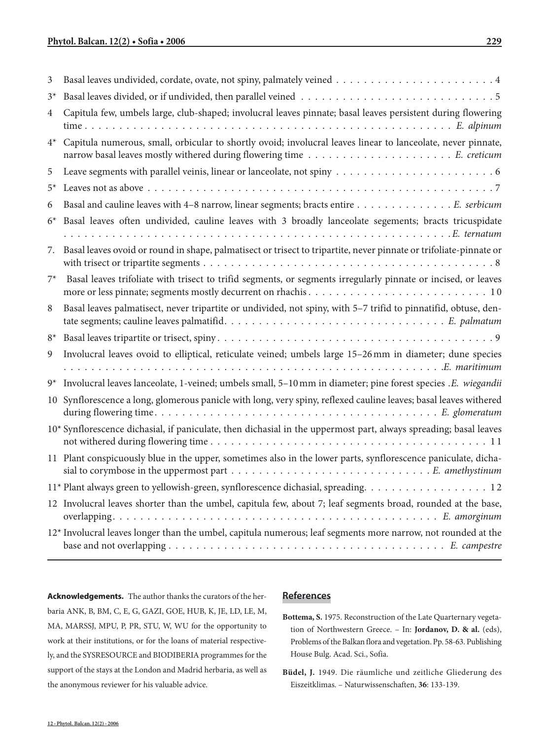| 3              |                                                                                                                    |
|----------------|--------------------------------------------------------------------------------------------------------------------|
| $3^*$          |                                                                                                                    |
| 4              | Capitula few, umbels large, club-shaped; involucral leaves pinnate; basal leaves persistent during flowering       |
| $4^*$          | Capitula numerous, small, orbicular to shortly ovoid; involucral leaves linear to lanceolate, never pinnate,       |
| 5              |                                                                                                                    |
| $5^*$          |                                                                                                                    |
| 6              | Basal and cauline leaves with 4-8 narrow, linear segments; bracts entire E. serbicum                               |
| $6^*$          | Basal leaves often undivided, cauline leaves with 3 broadly lanceolate segements; bracts tricuspidate              |
| 7.             | Basal leaves ovoid or round in shape, palmatisect or trisect to tripartite, never pinnate or trifoliate-pinnate or |
| $7^*$          | Basal leaves trifoliate with trisect to trifid segments, or segments irregularly pinnate or incised, or leaves     |
| 8              | Basal leaves palmatisect, never tripartite or undivided, not spiny, with 5-7 trifid to pinnatifid, obtuse, den-    |
| $8^*$          |                                                                                                                    |
| $\overline{9}$ | Involucral leaves ovoid to elliptical, reticulate veined; umbels large 15-26 mm in diameter; dune species          |
| $9^*$          | Involucral leaves lanceolate, 1-veined; umbels small, 5-10 mm in diameter; pine forest species .E. wiegandii       |
|                | 10 Synflorescence a long, glomerous panicle with long, very spiny, reflexed cauline leaves; basal leaves withered  |
|                | 10* Synflorescence dichasial, if paniculate, then dichasial in the uppermost part, always spreading; basal leaves  |
|                | 11 Plant conspicuously blue in the upper, sometimes also in the lower parts, synflorescence paniculate, dicha-     |
|                | 11* Plant always green to yellowish-green, synflorescence dichasial, spreading. 12                                 |
|                | 12 Involucral leaves shorter than the umbel, capitula few, about 7; leaf segments broad, rounded at the base,      |
|                | 12* Involucral leaves longer than the umbel, capitula numerous; leaf segments more narrow, not rounded at the      |

**Acknowledgements.** The author thanks the curators of the herbaria ANK, B, BM, C, E, G, GAZI, GOE, HUB, K, JE, LD, LE, M, MA, MARSSJ, MPU, P, PR, STU, W, WU for the opportunity to work at their institutions, or for the loans of material respectively, and the SYSRESOURCE and BIODIBERIA programmes for the support of the stays at the London and Madrid herbaria, as well as the anonymous reviewer for his valuable advice.

# **References**

- **Bottema, S.** 1975. Reconstruction of the Late Quarternary vegetation of Northwestern Greece. – In: **Jordanov, D. & al.** (eds), Problems of the Balkan flora and vegetation. Pp. 58-63. Publishing House Bulg. Acad. Sci., Sofia.
- **Büdel, J.** 1949. Die räumliche und zeitliche Gliederung des Eiszeitklimas. – Naturwissenschaften, **36**: 133-139.